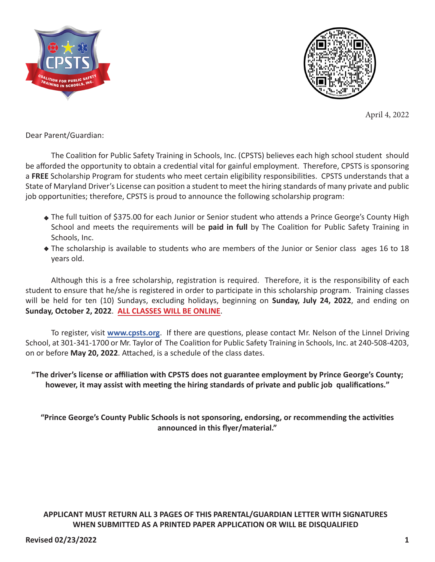



April 4, 2022

Dear Parent/Guardian:

The Coalition for Public Safety Training in Schools, Inc. (CPSTS) believes each high school student should be afforded the opportunity to obtain a credential vital for gainful employment. Therefore, CPSTS is sponsoring a **FREE** Scholarship Program for students who meet certain eligibility responsibilities. CPSTS understands that a State of Maryland Driver's License can position a student to meet the hiring standards of many private and public job opportunities; therefore, CPSTS is proud to announce the following scholarship program:

- The full tuition of \$375.00 for each Junior or Senior student who attends a Prince George's County High School and meets the requirements will be **paid in full** by The Coalition for Public Safety Training in Schools, Inc.
- The scholarship is available to students who are members of the Junior or Senior class ages 16 to 18 years old.

Although this is a free scholarship, registration is required. Therefore, it is the responsibility of each student to ensure that he/she is registered in order to participate in this scholarship program. Training classes will be held for ten (10) Sundays, excluding holidays, beginning on **Sunday, July 24, 2022**, and ending on **Sunday, October 2, 2022**. **ALL CLASSES WILL BE ONLINE**.

To register, visit www.cpsts.org. If there are questions, please contact Mr. Nelson of the Linnel Driving School, at 301-341-1700 or Mr. Taylor of The Coalition for Public Safety Training in Schools, Inc. at 240-508-4203, on or before May 20, 2022. Attached, is a schedule of the class dates.

**"The driver's license or affiliation with CPSTS does not guarantee employment by Prince George's County; however, it may assist with meeting the hiring standards of private and public job qualifications."**

**"Prince George's County Public Schools is not sponsoring, endorsing, or recommending the activities announced in this flyer/material."**

**APPLICANT MUST RETURN ALL 3 PAGES OF THIS PARENTAL/GUARDIAN LETTER WITH SIGNATURES WHEN SUBMITTED AS A PRINTED PAPER APPLICATION OR WILL BE DISQUALIFIED**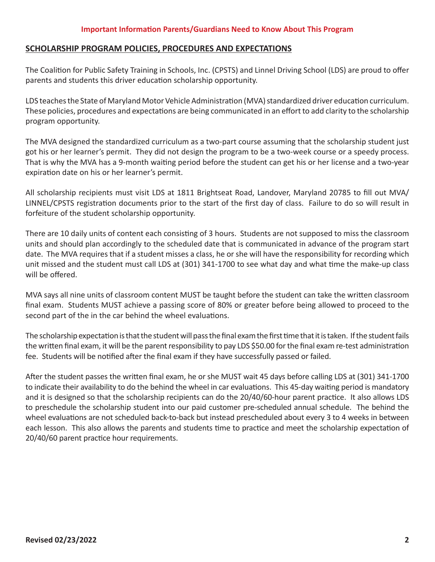### **SCHOLARSHIP PROGRAM POLICIES, PROCEDURES AND EXPECTATIONS**

The Coalition for Public Safety Training in Schools, Inc. (CPSTS) and Linnel Driving School (LDS) are proud to offer parents and students this driver education scholarship opportunity.

LDS teaches the State of Maryland Motor Vehicle Administration (MVA) standardized driver education curriculum. These policies, procedures and expectations are being communicated in an effort to add clarity to the scholarship program opportunity.

The MVA designed the standardized curriculum as a two-part course assuming that the scholarship student just got his or her learner's permit. They did not design the program to be a two-week course or a speedy process. That is why the MVA has a 9-month waiting period before the student can get his or her license and a two-year expiration date on his or her learner's permit.

All scholarship recipients must visit LDS at 1811 Brightseat Road, Landover, Maryland 20785 to fill out MVA/ LINNEL/CPSTS registration documents prior to the start of the first day of class. Failure to do so will result in forfeiture of the student scholarship opportunity.

There are 10 daily units of content each consisting of 3 hours. Students are not supposed to miss the classroom units and should plan accordingly to the scheduled date that is communicated in advance of the program start date. The MVA requires that if a student misses a class, he or she will have the responsibility for recording which unit missed and the student must call LDS at (301) 341-1700 to see what day and what time the make-up class will be offered.

MVA says all nine units of classroom content MUST be taught before the student can take the written classroom final exam. Students MUST achieve a passing score of 80% or greater before being allowed to proceed to the second part of the in the car behind the wheel evaluations.

The scholarship expectation is that the student will pass the final exam the first time that it is taken. If the student fails the written final exam, it will be the parent responsibility to pay LDS \$50.00 for the final exam re-test administration fee. Students will be notified after the final exam if they have successfully passed or failed.

After the student passes the written final exam, he or she MUST wait 45 days before calling LDS at (301) 341-1700 to indicate their availability to do the behind the wheel in car evaluations. This 45-day waiting period is mandatory and it is designed so that the scholarship recipients can do the 20/40/60-hour parent practice. It also allows LDS to preschedule the scholarship student into our paid customer pre-scheduled annual schedule. The behind the wheel evaluations are not scheduled back-to-back but instead prescheduled about every 3 to 4 weeks in between each lesson. This also allows the parents and students time to practice and meet the scholarship expectation of 20/40/60 parent practice hour requirements.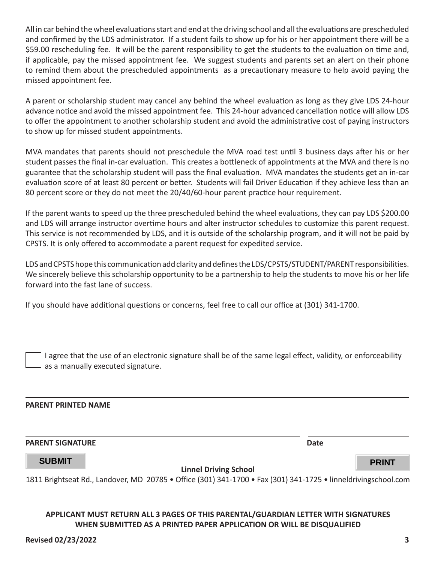All in car behind the wheel evaluations start and end at the driving school and all the evaluations are prescheduled and confirmed by the LDS administrator. If a student fails to show up for his or her appointment there will be a \$59.00 rescheduling fee. It will be the parent responsibility to get the students to the evaluation on time and, if applicable, pay the missed appointment fee. We suggest students and parents set an alert on their phone to remind them about the prescheduled appointments as a precautionary measure to help avoid paying the missed appointment fee.

A parent or scholarship student may cancel any behind the wheel evaluation as long as they give LDS 24-hour advance notice and avoid the missed appointment fee. This 24-hour advanced cancellation notice will allow LDS to offer the appointment to another scholarship student and avoid the administrative cost of paying instructors to show up for missed student appointments.

MVA mandates that parents should not preschedule the MVA road test until 3 business days after his or her student passes the final in-car evaluation. This creates a bottleneck of appointments at the MVA and there is no guarantee that the scholarship student will pass the final evaluation. MVA mandates the students get an in-car evaluation score of at least 80 percent or better. Students will fail Driver Education if they achieve less than an 80 percent score or they do not meet the 20/40/60-hour parent practice hour requirement.

If the parent wants to speed up the three prescheduled behind the wheel evaluations, they can pay LDS \$200.00 and LDS will arrange instructor overtime hours and alter instructor schedules to customize this parent request. This service is not recommended by LDS, and it is outside of the scholarship program, and it will not be paid by CPSTS. It is only offered to accommodate a parent request for expedited service.

LDS and CPSTS hope this communication add clarity and defines the LDS/CPSTS/STUDENT/PARENT responsibilities. We sincerely believe this scholarship opportunity to be a partnership to help the students to move his or her life forward into the fast lane of success.

If you should have additional questions or concerns, feel free to call our office at (301) 341-1700.

I agree that the use of an electronic signature shall be of the same legal effect, validity, or enforceability as a manually executed signature.

#### **PARENT PRINTED NAME**

#### **PARENT SIGNATURE Date**

## **SUBMIT PRINT**

**Linnel Driving School** 

1811 Brightseat Rd., Landover, MD 20785 • Office (301) 341-1700 • Fax (301) 341-1725 • linneldrivingschool.com

#### **APPLICANT MUST RETURN ALL 3 PAGES OF THIS PARENTAL/GUARDIAN LETTER WITH SIGNATURES WHEN SUBMITTED AS A PRINTED PAPER APPLICATION OR WILL BE DISQUALIFIED**